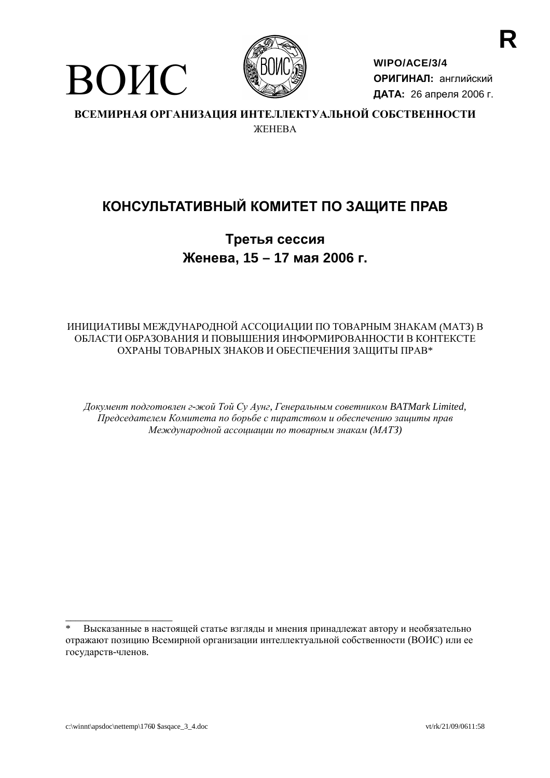

ВОИС

WIPO/ACE/3/4 ОРИГИНАЛ: английский ДАТА: 26 апреля 2006 г.

ВСЕМИРНАЯ ОРГАНИЗАЦИЯ ИНТЕЛЛЕКТУАЛЬНОЙ СОБСТВЕННОСТИ *ЖЕНЕВА* 

# КОНСУЛЬТАТИВНЫЙ КОМИТЕТ ПО ЗАЩИТЕ ПРАВ

Третья сессия Женева, 15 - 17 мая 2006 г.

# ИНИЦИАТИВЫ МЕЖДУНАРОДНОЙ АССОЦИАЦИИ ПО ТОВАРНЫМ ЗНАКАМ (МАТЗ) В ОБЛАСТИ ОБРАЗОВАНИЯ И ПОВЫШЕНИЯ ИНФОРМИРОВАННОСТИ В КОНТЕКСТЕ ОХРАНЫ ТОВАРНЫХ ЗНАКОВ И ОБЕСПЕЧЕНИЯ ЗАЩИТЫ ПРАВ\*

Документ подготовлен г-жой Той Су Аунг, Генеральным советником BATMark Limited, Председателем Комитета по борьбе с пиратством и обеспечению защиты прав Международной ассоциации по товарным знакам (МАТЗ)

Высказанные в настоящей статье взгляды и мнения принадлежат автору и необязательно отражают позицию Всемирной организации интеллектуальной собственности (ВОИС) или ее государств-членов.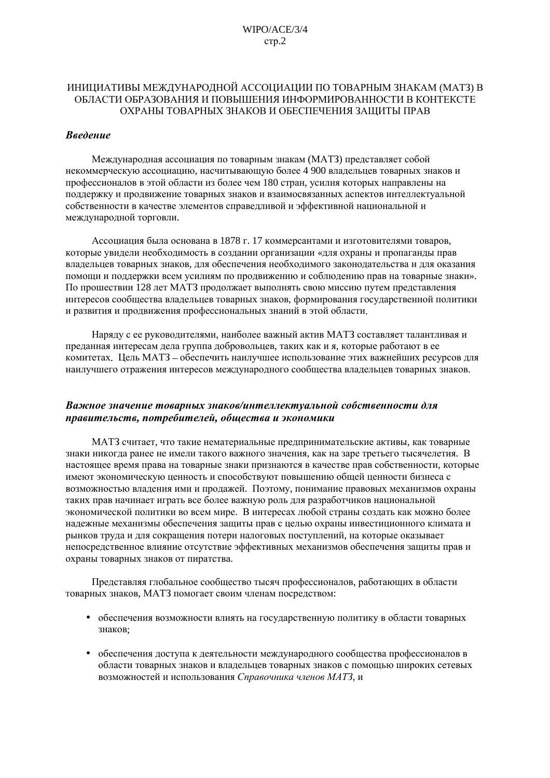### ИНИЦИАТИВЫ МЕЖДУНАРОДНОЙ АССОЦИАЦИИ ПО ТОВАРНЫМ ЗНАКАМ (МАТЗ) В ОБЛАСТИ ОБРАЗОВАНИЯ И ПОВЫШЕНИЯ ИНФОРМИРОВАННОСТИ В КОНТЕКСТЕ ОХРАНЫ ТОВАРНЫХ ЗНАКОВ И ОБЕСПЕЧЕНИЯ ЗАШИТЫ ПРАВ

#### Введение

Международная ассоциация по товарным знакам (МАТЗ) представляет собой некоммерческую ассоциацию, насчитывающую более 4 900 владельцев товарных знаков и профессионалов в этой области из более чем 180 стран, усилия которых направлены на поддержку и продвижение товарных знаков и взаимосвязанных аспектов интеллектуальной собственности в качестве элементов справедливой и эффективной национальной и международной торговли.

Ассоциация была основана в 1878 г. 17 коммерсантами и изготовителями товаров. которые увидели необходимость в создании организации «для охраны и пропаганды прав владельцев товарных знаков, для обеспечения необходимого законодательства и для оказания помощи и поддержки всем усилиям по продвижению и соблюдению прав на товарные знаки». По прошествии 128 лет МАТЗ продолжает выполнять свою миссию путем представления интересов сообщества владельцев товарных знаков, формирования государственной политики и развития и продвижения профессиональных знаний в этой области.

Наряду с ее руководителями, наиболее важный актив МАТЗ составляет талантливая и преданная интересам дела группа добровольцев, таких как и я, которые работают в ее комитетах. Цель МАТЗ - обеспечить наилучшее использование этих важнейших ресурсов для наилучшего отражения интересов международного сообщества владельцев товарных знаков.

#### Важное значение товарных знаков/интеллектуальной собственности для правительств, потребителей, обшества и экономики

МАТЗ считает, что такие нематериальные предпринимательские активы, как товарные знаки никогда ранее не имели такого важного значения, как на заре третьего тысячелетия. В настоящее время права на товарные знаки признаются в качестве прав собственности, которые имеют экономическую ценность и способствуют повышению общей ценности бизнеса с возможностью владения ими и продажей. Поэтому, понимание правовых механизмов охраны таких прав начинает играть все более важную роль для разработчиков национальной экономической политики во всем мире. В интересах любой страны создать как можно более належные механизмы обеспечения зашиты прав с целью охраны инвестиционного климата и рынков труда и для сокращения потери налоговых поступлений, на которые оказывает непосредственное влияние отсутствие эффективных механизмов обеспечения защиты прав и охраны товарных знаков от пиратства.

Представляя глобальное сообщество тысяч профессионалов, работающих в области товарных знаков, МАТЗ помогает своим членам посредством:

- обеспечения возможности влиять на государственную политику в области товарных знаков:
- обеспечения доступа к деятельности международного сообщества профессионалов в  $\bullet$ области товарных знаков и владельцев товарных знаков с помощью широких сетевых возможностей и использования Справочника членов МАТЗ, и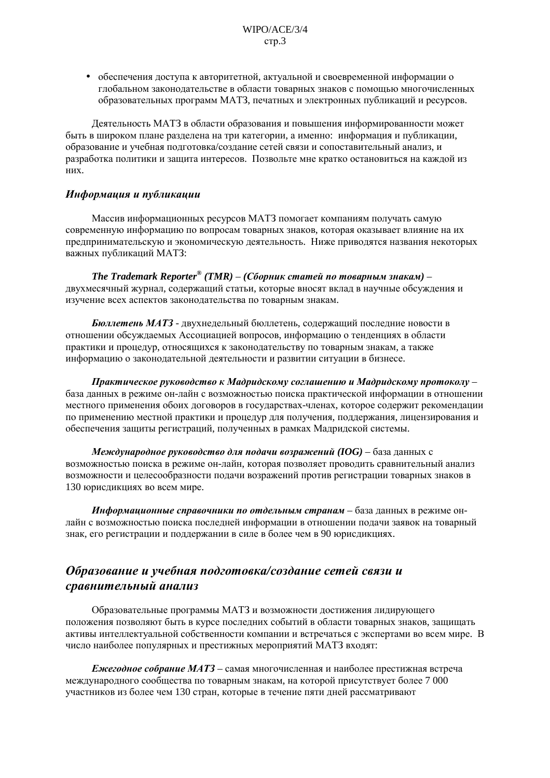• обеспечения доступа к авторитетной, актуальной и своевременной информации о глобальном законодательстве в области товарных знаков с помощью многочисленных образовательных программ МАТЗ, печатных и электронных публикаций и ресурсов.

Деятельность МАТЗ в области образования и повышения информированности может быть в широком плане разделена на три категории, а именно: информация и публикации, образование и учебная подготовка/создание сетей связи и сопоставительный анализ, и разработка политики и защита интересов. Позвольте мне кратко остановиться на каждой из них.

# Информация и публикации

Массив информационных ресурсов МАТЗ помогает компаниям получать самую современную информацию по вопросам товарных знаков, которая оказывает влияние на их предпринимательскую и экономическую деятельность. Ниже приводятся названия некоторых важных публикаций МАТЗ:

The Trademark Reporter® (ТМR) – (Сборник статей по товарным знакам) – двухмесячный журнал, содержащий статьи, которые вносят вклад в научные обсуждения и изучение всех аспектов законодательства по товарным знакам.

Бюллетень МАТЗ - двухнедельный бюллетень, содержащий последние новости в отношении обсуждаемых Ассоциацией вопросов, информацию о тенденциях в области практики и процедур, относящихся к законодательству по товарным знакам, а также информацию о законодательной деятельности и развитии ситуации в бизнесе.

Практическое руководство к Мадридскому соглашению и Мадридскому протоколу база данных в режиме он-лайн с возможностью поиска практической информации в отношении местного применения обоих договоров в государствах-членах, которое содержит рекомендации по применению местной практики и процедур для получения, поддержания, лицензирования и обеспечения защиты регистраций, полученных в рамках Мадридской системы.

Международное руководство для подачи возражений (IOG) - база данных с возможностью поиска в режиме он-лайн, которая позволяет проводить сравнительный анализ возможности и целесообразности подачи возражений против регистрации товарных знаков в 130 юрисдикциях во всем мире.

Информационные справочники по отдельным странам - база данных в режиме онлайн с возможностью поиска последней информации в отношении подачи заявок на товарный знак, его регистрации и поддержании в силе в более чем в 90 юрисдикциях.

# Образование и учебная подготовка/создание сетей связи и сравнительный анализ

Образовательные программы МАТЗ и возможности достижения лидирующего положения позволяют быть в курсе последних событий в области товарных знаков, защищать активы интеллектуальной собственности компании и встречаться с экспертами во всем мире. В число наиболее популярных и престижных мероприятий МАТЗ входят:

Ежегодное собрание МАТЗ - самая многочисленная и наиболее престижная встреча международного сообщества по товарным знакам, на которой присутствует более 7 000 участников из более чем 130 стран, которые в течение пяти дней рассматривают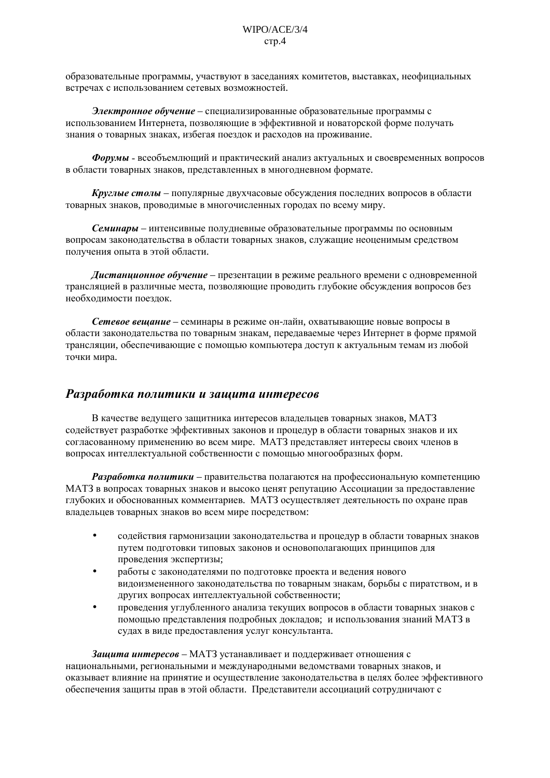образовательные программы, участвуют в заседаниях комитетов, выставках, неофициальных встречах с использованием сетевых возможностей.

Электронное обучение - специализированные образовательные программы с использованием Интернета, позволяющие в эффективной и новаторской форме получать знания о товарных знаках, избегая поездок и расходов на проживание.

Форумы - всеобъемлющий и практический анализ актуальных и своевременных вопросов в области товарных знаков, представленных в многодневном формате.

Круглые столы - популярные двухчасовые обсуждения последних вопросов в области товарных знаков, проводимые в многочисленных городах по всему миру.

Семинары - интенсивные полудневные образовательные программы по основным вопросам законодательства в области товарных знаков, служащие неоценимым средством получения опыта в этой области.

Дистанционное обучение - презентации в режиме реального времени с одновременной трансляцией в различные места, позволяющие проводить глубокие обсуждения вопросов без необходимости поездок.

Сетевое вешание - семинары в режиме он-лайн, охватывающие новые вопросы в области законодательства по товарным знакам, передаваемые через Интернет в форме прямой трансляции, обеспечивающие с помощью компьютера доступ к актуальным темам из любой точки мира.

# Разработка политики и зашита интересов

В качестве ведущего защитника интересов владельцев товарных знаков, МАТЗ содействует разработке эффективных законов и процедур в области товарных знаков и их согласованному применению во всем мире. МАТЗ представляет интересы своих членов в вопросах интеллектуальной собственности с помощью многообразных форм.

Разработка политики – правительства полагаются на профессиональную компетенцию МАТЗ в вопросах товарных знаков и высоко ценят репутацию Ассоциации за предоставление глубоких и обоснованных комментариев. МАТЗ осуществляет деятельность по охране прав владельцев товарных знаков во всем мире посредством:

- содействия гармонизации законодательства и процедур в области товарных знаков  $\bullet$ путем подготовки типовых законов и основополагающих принципов для проведения экспертизы;
- работы с законодателями по подготовке проекта и ведения нового видоизмененного законодательства по товарным знакам, борьбы с пиратством, и в других вопросах интеллектуальной собственности;
- проведения углубленного анализа текуших вопросов в области товарных знаков с помощью представления подробных докладов; и использования знаний МАТЗ в судах в виде предоставления услуг консультанта.

Зашита интересов - МАТЗ устанавливает и поддерживает отношения с национальными, региональными и международными ведомствами товарных знаков, и оказывает влияние на принятие и осуществление законодательства в целях более эффективного обеспечения защиты прав в этой области. Представители ассоциаций сотрудничают с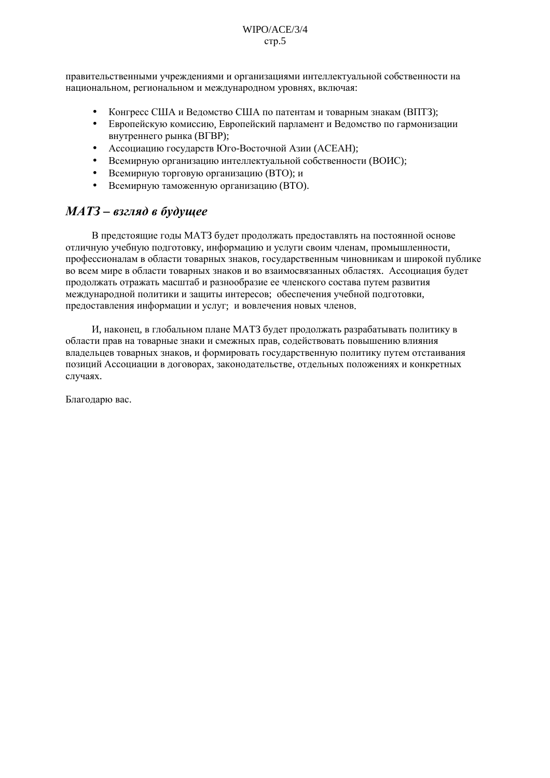правительственными учреждениями и организациями интеллектуальной собственности на национальном, региональном и международном уровнях, включая:

- Конгресс США и Ведомство США по патентам и товарным знакам (ВПТЗ);
- Европейскую комиссию, Европейский парламент и Ведомство по гармонизации внутреннего рынка (ВГВР);
- Ассоциацию государств Юго-Восточной Азии (АСЕАН);
- Всемирную организацию интеллектуальной собственности (ВОИС);
- Всемирную торговую организацию (ВТО); и
- Всемирную таможенную организацию (ВТО).

# МАТЗ - взгляд в будущее

В предстоящие годы МАТЗ будет продолжать предоставлять на постоянной основе отличную учебную подготовку, информацию и услуги своим членам, промышленности, профессионалам в области товарных знаков, государственным чиновникам и широкой публике во всем мире в области товарных знаков и во взаимосвязанных областях. Ассоциация будет продолжать отражать масштаб и разнообразие ее членского состава путем развития международной политики и защиты интересов; обеспечения учебной подготовки, предоставления информации и услуг; и вовлечения новых членов.

И, наконец, в глобальном плане МАТЗ будет продолжать разрабатывать политику в области прав на товарные знаки и смежных прав, содействовать повышению влияния владельцев товарных знаков, и формировать государственную политику путем отстаивания позиций Ассоциации в договорах, законодательстве, отдельных положениях и конкретных случаях.

Благодарю вас.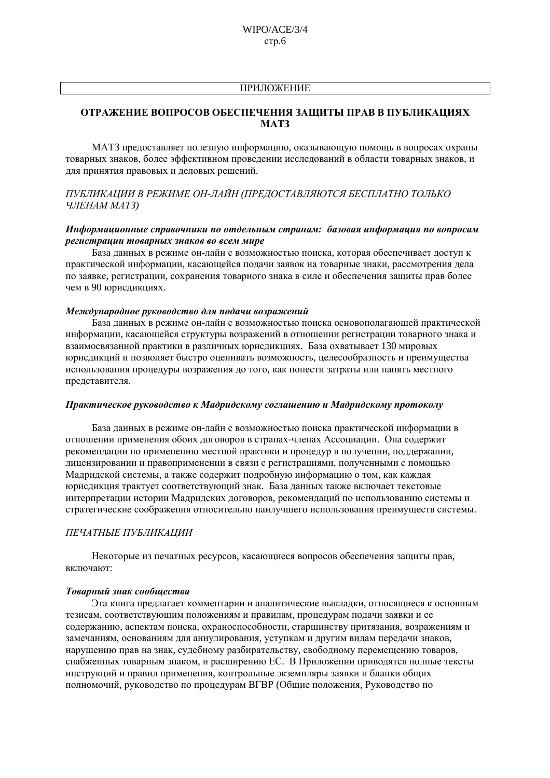# **ПРИЛОЖЕНИЕ**

# ОТРАЖЕНИЕ ВОПРОСОВ ОБЕСПЕЧЕНИЯ ЗАЩИТЫ ПРАВ В ПУБЛИКАЦИЯХ **MAT3**

МАТЗ предоставляет полезную информацию, оказывающую помощь в вопросах охраны товарных знаков, более эффективном проведении исследований в области товарных знаков, и для принятия правовых и деловых решений.

# ПУБЛИКАЦИИ В РЕЖИМЕ ОН-ЛАЙН (ПРЕДОСТАВЛЯЮТСЯ БЕСПЛАТНО ТОЛЬКО ЧЛЕНАМ МАТЗ)

#### Информационные справочники по отдельным странам: базовая информация по вопросам регистрации товарных знаков во всем мире

База данных в режиме он-лайн с возможностью поиска, которая обеспечивает доступ к практической информации, касающейся подачи заявок на товарные знаки, рассмотрения дела по заявке, регистрации, сохранения товарного знака в силе и обеспечения защиты прав более чем в 90 юрисдикциях.

#### Международное руководство для подачи возражений

База данных в режиме он-лайн с возможностью поиска основополагающей практической информации, касающейся структуры возражений в отношении регистрации товарного знака и взаимосвязанной практики в различных юрисдикциях. База охватывает 130 мировых юрисдикций и позволяет быстро оценивать возможность, целесообразность и преимущества использования процедуры возражения до того, как понести затраты или нанять местного представителя.

#### Практическое руководство к Мадридскому соглашению и Мадридскому протоколу

База данных в режиме он-лайн с возможностью поиска практической информации в отношении применения обоих договоров в странах-членах Ассоциации. Она содержит рекомендации по применению местной практики и процедур в получении, поддержании, лицензировании и правоприменении в связи с регистрациями, полученными с помощью Мадридской системы, а также содержит подробную информацию о том, как каждая юрисдикция трактует соответствующий знак. База данных также включает текстовые интерпретации истории Мадридских договоров, рекомендаций по использованию системы и стратегические соображения относительно наилучшего использования преимуществ системы.

#### ПЕЧАТНЫЕ ПУБЛИКАЦИИ

Некоторые из печатных ресурсов, касающиеся вопросов обеспечения защиты прав, включают:

#### Товарный знак сообщества

Эта книга предлагает комментарии и аналитические выкладки, относящиеся к основным тезисам, соответствующим положениям и правилам, процедурам подачи заявки и ее содержанию, аспектам поиска, охраноспособности, старшинству притязания, возражениям и замечаниям, основаниям для аннулирования, уступкам и другим видам передачи знаков, нарушению прав на знак, судебному разбирательству, свободному перемещению товаров, снабженных товарным знаком, и расширению ЕС. В Приложении приводятся полные тексты инструкций и правил применения, контрольные экземпляры заявки и бланки обших полномочий, руковолство по процедурам ВГВР (Общие положения, Руководство по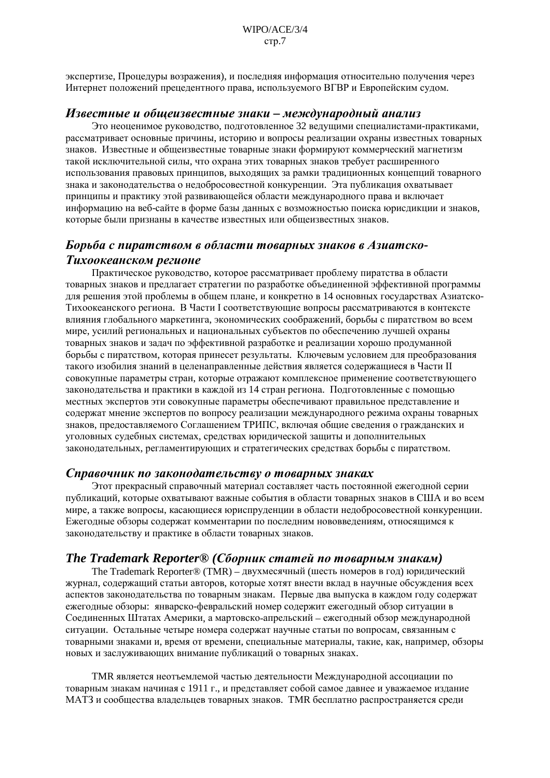экспертизе, Процедуры возражения), и последняя информация относительно получения через Интернет положений прецедентного права, используемого ВГВР и Европейским судом.

# Известные и общеизвестные знаки – международный анализ

Это неоценимое руководство, подготовленное 32 ведущими специалистами-практиками, рассматривает основные причины, историю и вопросы реализации охраны известных товарных знаков. Известные и общеизвестные товарные знаки формируют коммерческий магнетизм такой исключительной силы, что охрана этих товарных знаков требует расширенного использования правовых принципов, выходящих за рамки традиционных концепций товарного знака и законодательства о недобросовестной конкуренции. Эта публикация охватывает принципы и практику этой развивающейся области международного права и включает информацию на веб-сайте в форме базы данных с возможностью поиска юрисдикции и знаков, которые были признаны в качестве известных или общеизвестных знаков.

# Борьба с пиратством в области товарных знаков в Азиатско-Тихоокеанском регионе

Практическое руководство, которое рассматривает проблему пиратства в области товарных знаков и предлагает стратегии по разработке объединенной эффективной программы для решения этой проблемы в общем плане, и конкретно в 14 основных государствах Азиатско-Тихоокеанского региона. В Части I соответствующие вопросы рассматриваются в контексте влияния глобального маркетинга, экономических соображений, борьбы с пиратством во всем мире, усилий региональных и национальных субъектов по обеспечению лучшей охраны товарных знаков и задач по эффективной разработке и реализации хорошо продуманной борьбы с пиратством, которая принесет результаты. Ключевым условием для преобразования такого изобилия знаний в целенаправленные действия является содержащиеся в Части II совокупные параметры стран, которые отражают комплексное применение соответствующего законодательства и практики в каждой из 14 стран региона. Подготовленные с помощью местных экспертов эти совокупные параметры обеспечивают правильное представление и содержат мнение экспертов по вопросу реализации международного режима охраны товарных знаков, предоставляемого Соглашением ТРИПС, включая общие сведения о гражданских и уголовных судебных системах, средствах юридической защиты и дополнительных законодательных, регламентирующих и стратегических средствах борьбы с пиратством.

# Справочник по законодательству о товарных знаках

Этот прекрасный справочный материал составляет часть постоянной ежегодной серии публикаций, которые охватывают важные события в области товарных знаков в США и во всем мире, а также вопросы, касающиеся юриспруденции в области недобросовестной конкуренции. Ежеголные обзоры содержат комментарии по последним нововведениям, относящимся к законодательству и практике в области товарных знаков.

# The Trademark Reporter $\mathcal{D}$  (Сборник статей по товарным знакам)

The Trademark Reporter® (TMR) – двухмесячный (шесть номеров в год) юридический журнал, содержащий статьи авторов, которые хотят внести вклад в научные обсуждения всех аспектов законодательства по товарным знакам. Первые два выпуска в каждом году содержат ежегодные обзоры: январско-февральский номер содержит ежегодный обзор ситуации в Соединенных Штатах Америки, а мартовско-апрельский - ежегодный обзор международной ситуации. Остальные четыре номера содержат научные статьи по вопросам, связанным с товарными знаками и, время от времени, специальные материалы, такие, как, например, обзоры новых и заслуживающих внимание публикаций о товарных знаках.

ТМК является неотъемлемой частью деятельности Международной ассоциации по товарным знакам начиная с 1911 г., и представляет собой самое давнее и уважаемое издание МАТЗ и сообщества владельцев товарных знаков. TMR бесплатно распространяется среди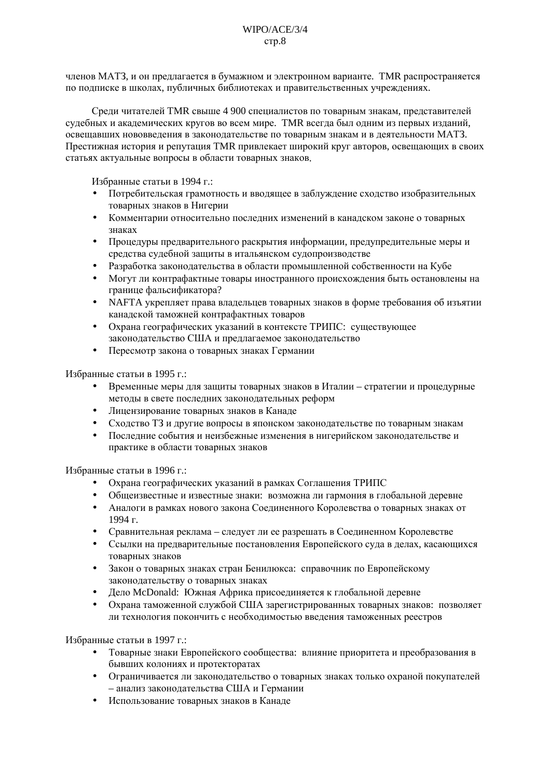членов МАТЗ, и он предлагается в бумажном и электронном варианте. TMR распространяется по подписке в школах, публичных библиотеках и правительственных учреждениях.

Среди читателей ТМR свыше 4 900 специалистов по товарным знакам, представителей судебных и академических кругов во всем мире. TMR всегда был одним из первых изданий, освещавших нововведения в законодательстве по товарным знакам и в деятельности МАТЗ. Престижная история и репутация TMR привлекает широкий круг авторов, освещающих в своих статьях актуальные вопросы в области товарных знаков.

Избранные статьи в 1994 г.:

- Потребительская грамотность и вводящее в заблуждение сходство изобразительных товарных знаков в Нигерии
- Комментарии относительно последних изменений в канадском законе о товарных знаках
- Процедуры предварительного раскрытия информации, предупредительные меры и средства судебной защиты в итальянском судопроизводстве
- Разработка законодательства в области промышленной собственности на Кубе
- Могут ли контрафактные товары иностранного происхождения быть остановлены на границе фальсификатора?
- NAFTA укрепляет права владельцев товарных знаков в форме требования об изъятии канадской таможней контрафактных товаров
- Охрана географических указаний в контексте ТРИПС: существующее законодательство США и предлагаемое законодательство
- Пересмотр закона о товарных знаках Германии

Избранные статьи в 1995 г.:

- Временные меры для защиты товарных знаков в Италии стратегии и процедурные методы в свете последних законодательных реформ
- Лицензирование товарных знаков в Канаде
- Сходство ТЗ и другие вопросы в японском законодательстве по товарным знакам
- Послелние события и неизбежные изменения в нигерийском законолательстве и практике в области товарных знаков

Избранные статьи в 1996 г.:

- Охрана географических указаний в рамках Соглашения ТРИПС
- Общеизвестные и известные знаки: возможна ли гармония в глобальной деревне
- Аналоги в рамках нового закона Соединенного Королевства о товарных знаках от 1994 г.
- Сравнительная реклама следует ли ее разрешать в Соединенном Королевстве
- Ссылки на предварительные постановления Европейского суда в делах, касающихся товарных знаков
- Закон о товарных знаках стран Бенилюкса: справочник по Европейскому законодательству о товарных знаках
- Дело McDonald: Южная Африка присоединяется к глобальной деревне
- Охрана таможенной службой США зарегистрированных товарных знаков: позволяет ли технология покончить с необходимостью введения таможенных реестров

Избранные статьи в 1997 г.:

- Товарные знаки Европейского сообщества: влияние приоритета и преобразования в бывших колониях и протекторатах
- Ограничивается ли законолательство о товарных знаках только охраной покупателей  $\ddot{\phantom{a}}$ - анализ законодательства США и Германии
- Использование товарных знаков в Канаде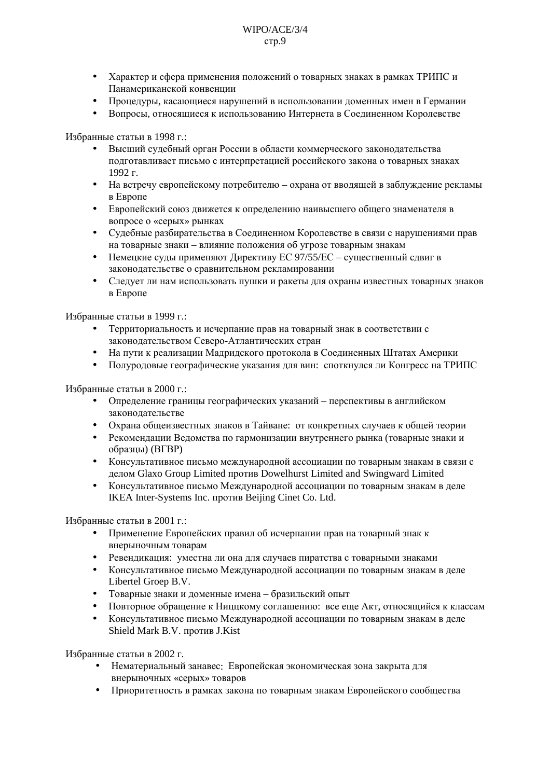- $\bullet$ Характер и сфера применения положений о товарных знаках в рамках ТРИПС и Панамериканской конвенции
- Процедуры, касающиеся нарушений в использовании доменных имен в Германии
- Вопросы, относящиеся к использованию Интернета в Соединенном Королевстве

Избранные статьи в 1998 г.:

- Высший судебный орган России в области коммерческого законодательства подготавливает письмо с интерпретацией российского закона о товарных знаках 1992 г.
- На встречу европейскому потребителю охрана от вводящей в заблуждение рекламы в Европе
- Европейский союз движется к определению наивысшего общего знаменателя в  $\bullet$ вопросе о «серых» рынках
- $\bullet$ Судебные разбирательства в Соединенном Королевстве в связи с нарушениями прав на товарные знаки - влияние положения об угрозе товарным знакам
- Немецкие суды применяют Директиву ЕС 97/55/ЕС существенный сдвиг в законодательстве о сравнительном рекламировании
- Следует ли нам использовать пушки и ракеты для охраны известных товарных знаков в Европе

Избранные статьи в 1999 г.:

- Территориальность и исчерпание прав на товарный знак в соответствии с законодательством Северо-Атлантических стран
- На пути к реализации Мадридского протокола в Соединенных Штатах Америки
- Полуродовые географические указания для вин: споткнулся ли Конгресс на ТРИПС

Избранные статьи в 2000 г.:

- Определение границы географических указаний перспективы в английском законолательстве
- Охрана общеизвестных знаков в Тайване: от конкретных случаев к общей теории
- Рекомендации Ведомства по гармонизации внутреннего рынка (товарные знаки и образцы) (ВГВР)
- Консультативное письмо международной ассоциации по товарным знакам в связи с лелом Glaxo Group Limited против Dowelhurst Limited and Swingward Limited
- Консультативное письмо Международной ассоциации по товарным знакам в деле IKEA Inter-Systems Inc. против Beijing Cinet Co. Ltd.

Избранные статьи в 2001 г.:

- Применение Европейских правил об исчерпании прав на товарный знак к внерыночным товарам
- Ревендикация: уместна ли она для случаев пиратства с товарными знаками
- Консультативное письмо Международной ассоциации по товарным знакам в деле Libertel Groep B.V.
- Товарные знаки и доменные имена бразильский опыт
- Повторное обращение к Ниццкому соглашению: все еще Акт, относящийся к классам
- Консультативное письмо Международной ассоциации по товарным знакам в деле Shield Mark B.V. против J.Kist

Избранные статьи в 2002 г.

- Нематериальный занавес: Европейская экономическая зона закрыта для внерыночных «серых» товаров
- Приоритетность в рамках закона по товарным знакам Европейского сообщества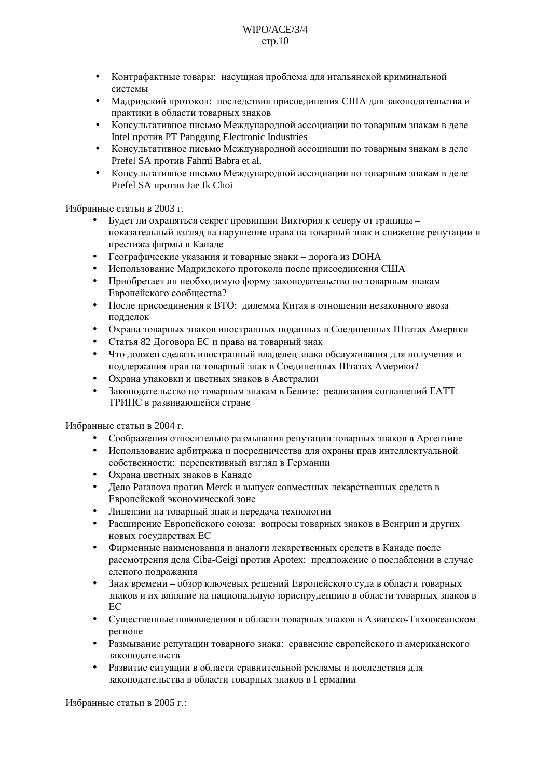#### $W \Gamma Q / A C E / 3/4$  $crp.10$

- Контрафактные товары: насущная проблема для итальянской криминальной системы
- Мадридский протокол: последствия присоединения США для законодательства и практики в области товарных знаков
- Консультативное письмо Международной ассоциации по товарным знакам в деле Intel против PT Panggung Electronic Industries
- Консультативное письмо Международной ассоциации по товарным знакам в деле Prefel SA против Fahmi Babra et al.
- Консультативное письмо Международной ассоциации по товарным знакам в деле Prefel SA против Jae Ik Choi

# Избранные статьи в 2003 г.

- Булет ли охраняться секрет провинции Виктория к северу от границы показательный взгляд на нарушение права на товарный знак и снижение репутации и престижа фирмы в Канаде
- Географические указания и товарные знаки дорога из DOHA
- Использование Мадридского протокола после присоединения США
- Приобретает ли необходимую форму законодательство по товарным знакам Европейского сообщества?
- После присоединения к ВТО: дилемма Китая в отношении незаконного ввоза подделок
- Охрана товарных знаков иностранных поланных в Соелиненных Штатах Америки
- Статья 82 Логовора ЕС и права на товарный знак
- Что лолжен слелать иностранный владелец знака обслуживания лля получения и поддержания прав на товарный знак в Соединенных Штатах Америки?
- Охрана упаковки и цветных знаков в Австралии
- Законодательство по товарным знакам в Белизе: реализация соглашений ГАТТ ТРИПС в развивающейся стране

#### Избранные статьи в 2004 г.

- Соображения относительно размывания репутации товарных знаков в Аргентине
- Использование арбитража и посредничества для охраны прав интеллектуальной собственности: перспективный взгляд в Германии
- Охрана цветных знаков в Канаде
- Дело Рагапоча против Merck и выпуск совместных лекарственных средств в Европейской экономической зоне
- Лицензии на товарный знак и передача технологии
- Расширение Европейского союза: вопросы товарных знаков в Венгрии и других новых государствах ЕС
- Фирменные наименования и аналоги лекарственных средств в Канаде после рассмотрения дела Ciba-Geigi против Apotex: предложение о послаблении в случае слепого подражания
- Знак времени обзор ключевых решений Европейского суда в области товарных знаков и их влияние на национальную юриспруденцию в области товарных знаков в EC
- Существенные нововведения в области товарных знаков в Азиатско-Тихоокеанском регионе
- Размывание репутации товарного знака: сравнение европейского и американского законолательств
- Развитие ситуации в области сравнительной рекламы и последствия для законодательства в области товарных знаков в Германии

Избранные статьи в 2005 г.: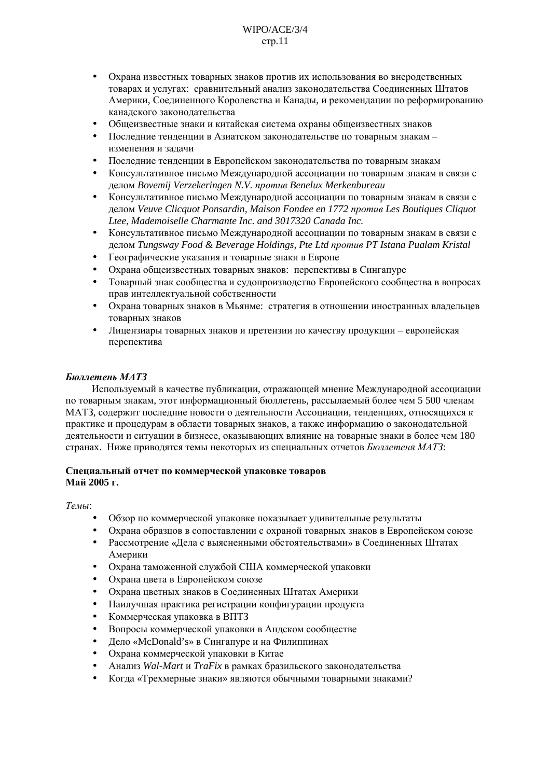#### $W \Gamma Q / A C E / 3/4$  $crp.11$

- $\ddot{\phantom{0}}$ Охрана известных товарных знаков против их использования во внеродственных товарах и услугах: сравнительный анализ законодательства Соединенных Штатов Америки, Соединенного Королевства и Канады, и рекомендации по реформированию канадского законодательства
- Общеизвестные знаки и китайская система охраны общеизвестных знаков
- Последние тенденции в Азиатском законодательстве по товарным знакам изменения и залачи
- Последние тенденции в Европейском законодательства по товарным знакам
- Консультативное письмо Международной ассоциации по товарным знакам в связи с делом Bovemij Verzekeringen N.V. против Benelux Merkenbureau
- Консультативное письмо Международной ассоциации по товарным знакам в связи с делом Veuve Clicquot Ponsardin, Maison Fondee en 1772 против Les Boutiques Cliquot Ltee, Mademoiselle Charmante Inc. and 3017320 Canada Inc.
- Консультативное письмо Международной ассоциации по товарным знакам в связи с делом Tungsway Food & Beverage Holdings, Pte Ltd против PT Istana Pualam Kristal
- Географические указания и товарные знаки в Европе
- Охрана общеизвестных товарных знаков: перспективы в Сингапуре
- Товарный знак сообщества и судопроизводство Европейского сообщества в вопросах прав интеллектуальной собственности
- Охрана товарных знаков в Мьянме: стратегия в отношении иностранных владельцев товарных знаков
- Лицензиары товарных знаков и претензии по качеству продукции европейская перспектива

#### Бюллетень МАТЗ

Используемый в качестве публикации, отражающей мнение Международной ассоциации по товарным знакам, этот информационный бюллетень, рассылаемый более чем 5 500 членам МАТЗ, солержит послелние новости о леятельности Ассоциации, тенленциях, относящихся к практике и процедурам в области товарных знаков, а также информацию о законодательной леятельности и ситуации в бизнесе, оказывающих влияние на товарные знаки в более чем 180 странах. Ниже приводятся темы некоторых из специальных отчетов Бюллетеня МАТЗ:

#### Специальный отчет по коммерческой упаковке товаров Май 2005 г.

#### Темы:

- Обзор по коммерческой упаковке показывает удивительные результаты
- Охрана образцов в сопоставлении с охраной товарных знаков в Европейском союзе
- Рассмотрение «Лела с выясненными обстоятельствами» в Соединенных Штатах Америки
- Охрана таможенной службой США коммерческой упаковки
- Охрана цвета в Европейском союзе
- Охрана цветных знаков в Соединенных Штатах Америки
- Наилучшая практика регистрации конфигурации продукта
- Коммерческая упаковка в ВПТЗ
- Вопросы коммерческой упаковки в Андском сообществе
- Дело «McDonald's» в Сингапуре и на Филиппинах
- Охрана коммерческой упаковки в Китае
- Анализ Wal-Mart и TraFix в рамках бразильского законодательства
- Когда «Трехмерные знаки» являются обычными товарными знаками?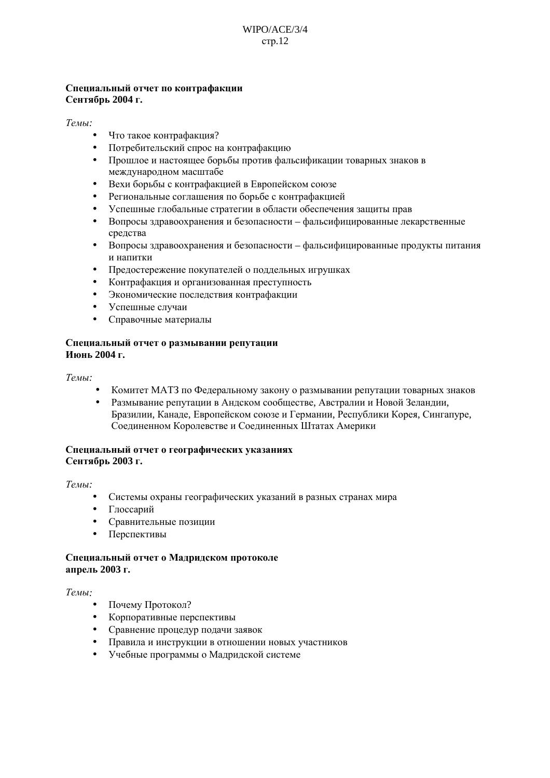# Специальный отчет по контрафакции Сентябрь 2004 г.

#### Темы:

- Что такое контрафакция?
- Потребительский спрос на контрафакцию
- $\bullet$ Прошлое и настоящее борьбы против фальсификации товарных знаков в международном масштабе
- Вехи борьбы с контрафакцией в Европейском союзе
- Региональные соглашения по борьбе с контрафакцией
- Успешные глобальные стратегии в области обеспечения защиты прав
- Вопросы здравоохранения и безопасности фальсифицированные лекарственные средства
- $\bullet$ Вопросы здравоохранения и безопасности - фальсифицированные продукты питания и напитки
- Предостережение покупателей о поддельных игрушках
- Контрафакция и организованная преступность
- Экономические последствия контрафакции
- $\bullet$ Успешные случаи
- Справочные материалы

#### Специальный отчет о размывании репутации Июнь 2004 г.

#### Темы:

- Комитет МАТЗ по Федеральному закону о размывании репутации товарных знаков
- Размывание репутации в Андском сообществе, Австралии и Новой Зеландии, Бразилии, Канаде, Европейском союзе и Германии, Республики Корея, Сингапуре, Соединенном Королевстве и Соединенных Штатах Америки

#### Специальный отчет о географических указаниях Сентябрь 2003 г.

Темы:

- Системы охраны географических указаний в разных странах мира
- Глоссарий
- Сравнительные позиции
- Перспективы

#### Специальный отчет о Мадридском протоколе апрель 2003 г.

#### Темы:

- Почему Протокол?
- Корпоративные перспективы
- Сравнение процедур подачи заявок  $\bullet$
- Правила и инструкции в отношении новых участников
- Учебные программы о Мадридской системе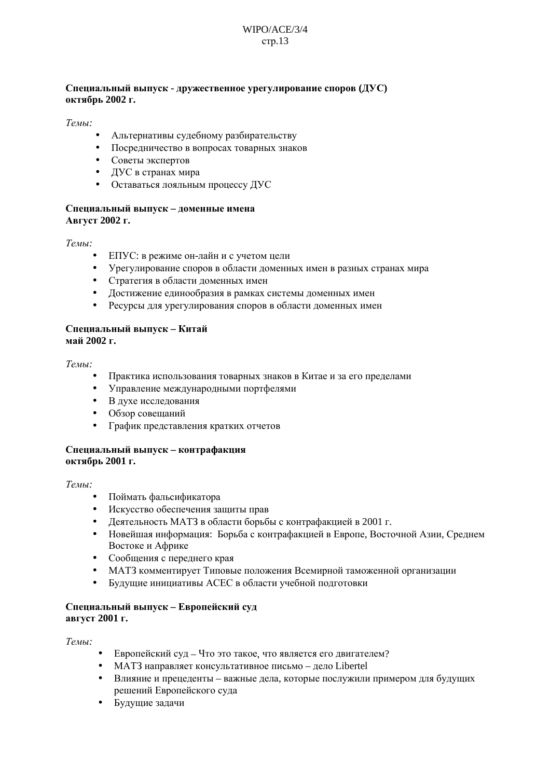# $W \Gamma P Q / A C E / 3/4$  $crp.13$

# Специальный выпуск - дружественное урегулирование споров (ДУС) октябрь 2002 г.

Темы:

- Альтернативы судебному разбирательству
- Посредничество в вопросах товарных знаков
- Советы экспертов
- ДУС в странах мира
- Оставаться лояльным процессу ДУС

### Специальный выпуск - доменные имена Август 2002 г.

Темы:

- ЕПУС: в режиме он-лайн и с учетом цели
- Урегулирование споров в области доменных имен в разных странах мира
- Стратегия в области доменных имен
- Достижение единообразия в рамках системы доменных имен
- Ресурсы для урегулирования споров в области доменных имен

#### Специальный выпуск - Китай май 2002 г.

 $T$ <sub>*PMbl*</sub> $\cdot$ 

- Практика использования товарных знаков в Китае и за его пределами
- Управление международными портфелями
- В духе исследования
- Обзор совещаний
- График представления кратких отчетов

#### Специальный выпуск - контрафакция октябрь 2001 г.

Темы:

- Поймать фальсификатора
- Искусство обеспечения защиты прав
- Деятельность МАТЗ в области борьбы с контрафакцией в 2001 г.
- $\bullet$ Новейшая информация: Борьба с контрафакцией в Европе, Восточной Азии, Среднем Востоке и Африке
- Сообщения с переднего края
- МАТЗ комментирует Типовые положения Всемирной таможенной организации
- $\bullet$ Будущие инициативы АСЕС в области учебной подготовки

#### Специальный выпуск - Европейский суд август 2001 г.

Темы:

- Европейский суд Что это такое, что является его двигателем?
- МАТЗ направляет консультативное письмо лело Libertel
- Влияние и прецеденты важные дела, которые послужили примером для будущих решений Европейского суда
- Будушие залачи